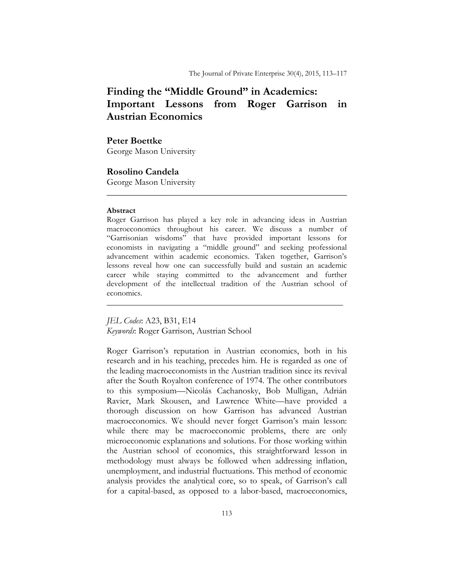# **Finding the "Middle Ground" in Academics: Important Lessons from Roger Garrison in Austrian Economics**

## **Peter Boettke**

George Mason University

## **Rosolino Candela**

George Mason University

#### **Abstract**

Roger Garrison has played a key role in advancing ideas in Austrian macroeconomics throughout his career. We discuss a number of "Garrisonian wisdoms" that have provided important lessons for economists in navigating a "middle ground" and seeking professional advancement within academic economics. Taken together, Garrison's lessons reveal how one can successfully build and sustain an academic career while staying committed to the advancement and further development of the intellectual tradition of the Austrian school of economics.

\_\_\_\_\_\_\_\_\_\_\_\_\_\_\_\_\_\_\_\_\_\_\_\_\_\_\_\_\_\_\_\_\_\_\_\_\_\_\_\_\_\_\_\_\_\_\_\_\_\_\_\_\_\_\_\_\_\_

**\_\_\_\_\_\_\_\_\_\_\_\_\_\_\_\_\_\_\_\_\_\_\_\_\_\_\_\_\_\_\_\_\_\_\_\_\_\_\_\_\_\_\_\_\_\_\_\_\_\_\_\_\_\_** 

*JEL Codes*: A23, B31, E14 *Keywords*: Roger Garrison, Austrian School

Roger Garrison's reputation in Austrian economics, both in his research and in his teaching, precedes him. He is regarded as one of the leading macroeconomists in the Austrian tradition since its revival after the South Royalton conference of 1974. The other contributors to this symposium—Nicolás Cachanosky, Bob Mulligan, Adrián Ravier, Mark Skousen, and Lawrence White—have provided a thorough discussion on how Garrison has advanced Austrian macroeconomics. We should never forget Garrison's main lesson: while there may be macroeconomic problems, there are only microeconomic explanations and solutions. For those working within the Austrian school of economics, this straightforward lesson in methodology must always be followed when addressing inflation, unemployment, and industrial fluctuations. This method of economic analysis provides the analytical core, so to speak, of Garrison's call for a capital-based, as opposed to a labor-based, macroeconomics,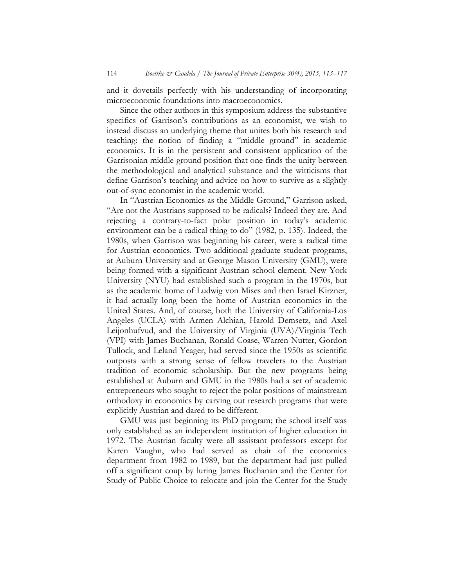and it dovetails perfectly with his understanding of incorporating microeconomic foundations into macroeconomics.

Since the other authors in this symposium address the substantive specifics of Garrison's contributions as an economist, we wish to instead discuss an underlying theme that unites both his research and teaching: the notion of finding a "middle ground" in academic economics. It is in the persistent and consistent application of the Garrisonian middle-ground position that one finds the unity between the methodological and analytical substance and the witticisms that define Garrison's teaching and advice on how to survive as a slightly out-of-sync economist in the academic world.

In "Austrian Economics as the Middle Ground," Garrison asked, "Are not the Austrians supposed to be radicals? Indeed they are. And rejecting a contrary-to-fact polar position in today's academic environment can be a radical thing to do" (1982, p. 135). Indeed, the 1980s, when Garrison was beginning his career, were a radical time for Austrian economics. Two additional graduate student programs, at Auburn University and at George Mason University (GMU), were being formed with a significant Austrian school element. New York University (NYU) had established such a program in the 1970s, but as the academic home of Ludwig von Mises and then Israel Kirzner, it had actually long been the home of Austrian economics in the United States. And, of course, both the University of California-Los Angeles (UCLA) with Armen Alchian, Harold Demsetz, and Axel Leijonhufvud, and the University of Virginia (UVA)/Virginia Tech (VPI) with James Buchanan, Ronald Coase, Warren Nutter, Gordon Tullock, and Leland Yeager, had served since the 1950s as scientific outposts with a strong sense of fellow travelers to the Austrian tradition of economic scholarship. But the new programs being established at Auburn and GMU in the 1980s had a set of academic entrepreneurs who sought to reject the polar positions of mainstream orthodoxy in economics by carving out research programs that were explicitly Austrian and dared to be different.

GMU was just beginning its PhD program; the school itself was only established as an independent institution of higher education in 1972. The Austrian faculty were all assistant professors except for Karen Vaughn, who had served as chair of the economics department from 1982 to 1989, but the department had just pulled off a significant coup by luring James Buchanan and the Center for Study of Public Choice to relocate and join the Center for the Study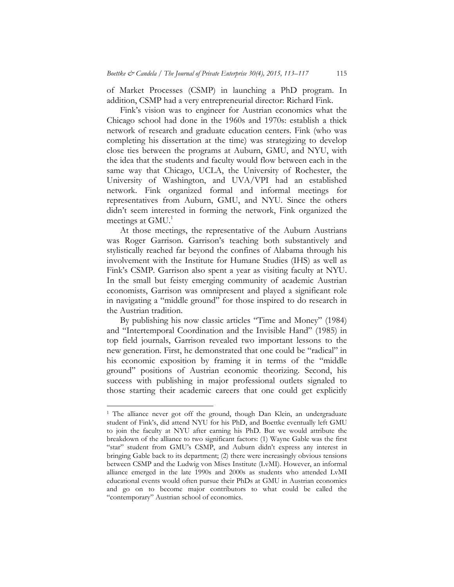of Market Processes (CSMP) in launching a PhD program. In addition, CSMP had a very entrepreneurial director: Richard Fink.

Fink's vision was to engineer for Austrian economics what the Chicago school had done in the 1960s and 1970s: establish a thick network of research and graduate education centers. Fink (who was completing his dissertation at the time) was strategizing to develop close ties between the programs at Auburn, GMU, and NYU, with the idea that the students and faculty would flow between each in the same way that Chicago, UCLA, the University of Rochester, the University of Washington, and UVA/VPI had an established network. Fink organized formal and informal meetings for representatives from Auburn, GMU, and NYU. Since the others didn't seem interested in forming the network, Fink organized the meetings at GMU.<sup>1</sup>

At those meetings, the representative of the Auburn Austrians was Roger Garrison. Garrison's teaching both substantively and stylistically reached far beyond the confines of Alabama through his involvement with the Institute for Humane Studies (IHS) as well as Fink's CSMP. Garrison also spent a year as visiting faculty at NYU. In the small but feisty emerging community of academic Austrian economists, Garrison was omnipresent and played a significant role in navigating a "middle ground" for those inspired to do research in the Austrian tradition.

By publishing his now classic articles "Time and Money" (1984) and "Intertemporal Coordination and the Invisible Hand" (1985) in top field journals, Garrison revealed two important lessons to the new generation. First, he demonstrated that one could be "radical" in his economic exposition by framing it in terms of the "middle ground" positions of Austrian economic theorizing. Second, his success with publishing in major professional outlets signaled to those starting their academic careers that one could get explicitly

<sup>&</sup>lt;sup>1</sup> The alliance never got off the ground, though Dan Klein, an undergraduate student of Fink's, did attend NYU for his PhD, and Boettke eventually left GMU to join the faculty at NYU after earning his PhD. But we would attribute the breakdown of the alliance to two significant factors: (1) Wayne Gable was the first "star" student from GMU's CSMP, and Auburn didn't express any interest in bringing Gable back to its department; (2) there were increasingly obvious tensions between CSMP and the Ludwig von Mises Institute (LvMI). However, an informal alliance emerged in the late 1990s and 2000s as students who attended LvMI educational events would often pursue their PhDs at GMU in Austrian economics and go on to become major contributors to what could be called the "contemporary" Austrian school of economics.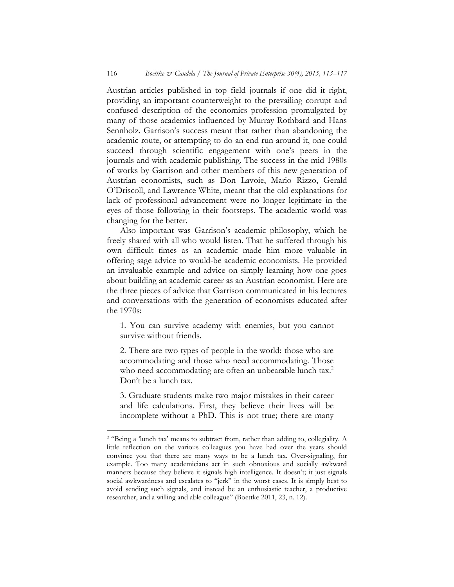Austrian articles published in top field journals if one did it right, providing an important counterweight to the prevailing corrupt and confused description of the economics profession promulgated by many of those academics influenced by Murray Rothbard and Hans Sennholz. Garrison's success meant that rather than abandoning the academic route, or attempting to do an end run around it, one could succeed through scientific engagement with one's peers in the journals and with academic publishing. The success in the mid-1980s of works by Garrison and other members of this new generation of Austrian economists, such as Don Lavoie, Mario Rizzo, Gerald O'Driscoll, and Lawrence White, meant that the old explanations for lack of professional advancement were no longer legitimate in the eyes of those following in their footsteps. The academic world was changing for the better.

Also important was Garrison's academic philosophy, which he freely shared with all who would listen. That he suffered through his own difficult times as an academic made him more valuable in offering sage advice to would-be academic economists. He provided an invaluable example and advice on simply learning how one goes about building an academic career as an Austrian economist. Here are the three pieces of advice that Garrison communicated in his lectures and conversations with the generation of economists educated after the 1970s:

1. You can survive academy with enemies, but you cannot survive without friends.

2. There are two types of people in the world: those who are accommodating and those who need accommodating. Those who need accommodating are often an unbearable lunch tax.<sup>2</sup> Don't be a lunch tax.

3. Graduate students make two major mistakes in their career and life calculations. First, they believe their lives will be incomplete without a PhD. This is not true; there are many

<sup>2 &</sup>quot;Being a 'lunch tax' means to subtract from, rather than adding to, collegiality. A little reflection on the various colleagues you have had over the years should convince you that there are many ways to be a lunch tax. Over-signaling, for example. Too many academicians act in such obnoxious and socially awkward manners because they believe it signals high intelligence. It doesn't; it just signals social awkwardness and escalates to "jerk" in the worst cases. It is simply best to avoid sending such signals, and instead be an enthusiastic teacher, a productive researcher, and a willing and able colleague" (Boettke 2011, 23, n. 12).